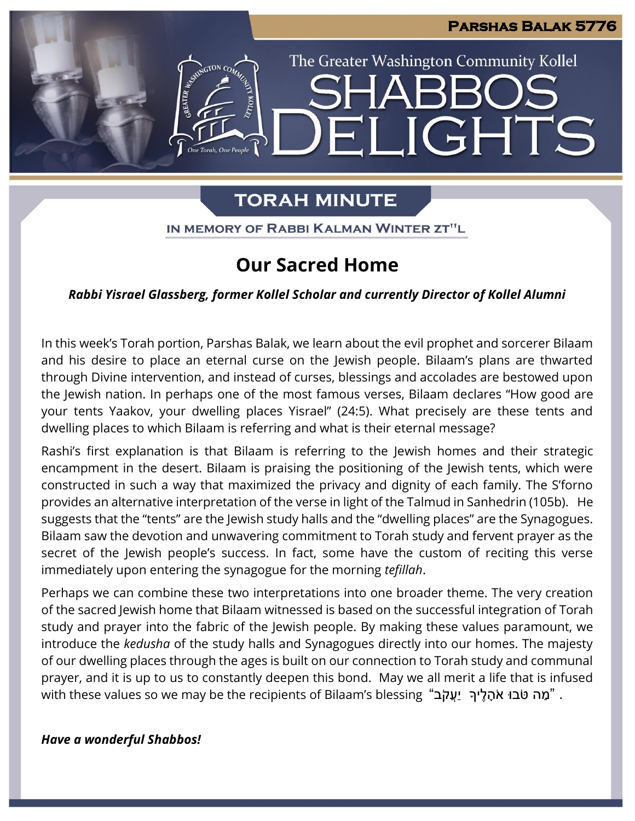**JGHTS** 

The Greater Washington Community Kollel

# **TORAH MINUTE**

IN MEMORY OF RABBI KALMAN WINTER ZT"L

# **Our Sacred Home**

*Rabbi Yisrael Glassberg, former Kollel Scholar and currently Director of Kollel Alumni*

In this week's Torah portion, Parshas Balak, we learn about the evil prophet and sorcerer Bilaam and his desire to place an eternal curse on the Jewish people. Bilaam's plans are thwarted through Divine intervention, and instead of curses, blessings and accolades are bestowed upon the Jewish nation. In perhaps one of the most famous verses, Bilaam declares "How good are your tents Yaakov, your dwelling places Yisrael" (24:5). What precisely are these tents and dwelling places to which Bilaam is referring and what is their eternal message?

Rashi's first explanation is that Bilaam is referring to the Jewish homes and their strategic encampment in the desert. Bilaam is praising the positioning of the Jewish tents, which were constructed in such a way that maximized the privacy and dignity of each family. The S'forno provides an alternative interpretation of the verse in light of the Talmud in Sanhedrin (105b). He suggests that the "tents" are the Jewish study halls and the "dwelling places" are the Synagogues. Bilaam saw the devotion and unwavering commitment to Torah study and fervent prayer as the secret of the Jewish people's success. In fact, some have the custom of reciting this verse immediately upon entering the synagogue for the morning *tefillah*.

Perhaps we can combine these two interpretations into one broader theme. The very creation of the sacred Jewish home that Bilaam witnessed is based on the successful integration of Torah study and prayer into the fabric of the Jewish people. By making these values paramount, we introduce the *kedusha* of the study halls and Synagogues directly into our homes. The majesty of our dwelling places through the ages is built on our connection to Torah study and communal prayer, and it is up to us to constantly deepen this bond. May we all merit a life that is infused with these values so we may be the recipients of Bilaam's blessing "מַה טֹבוּ אֹהָלֵיךְ יַעֲקֹב "

*Have a wonderful Shabbos!*